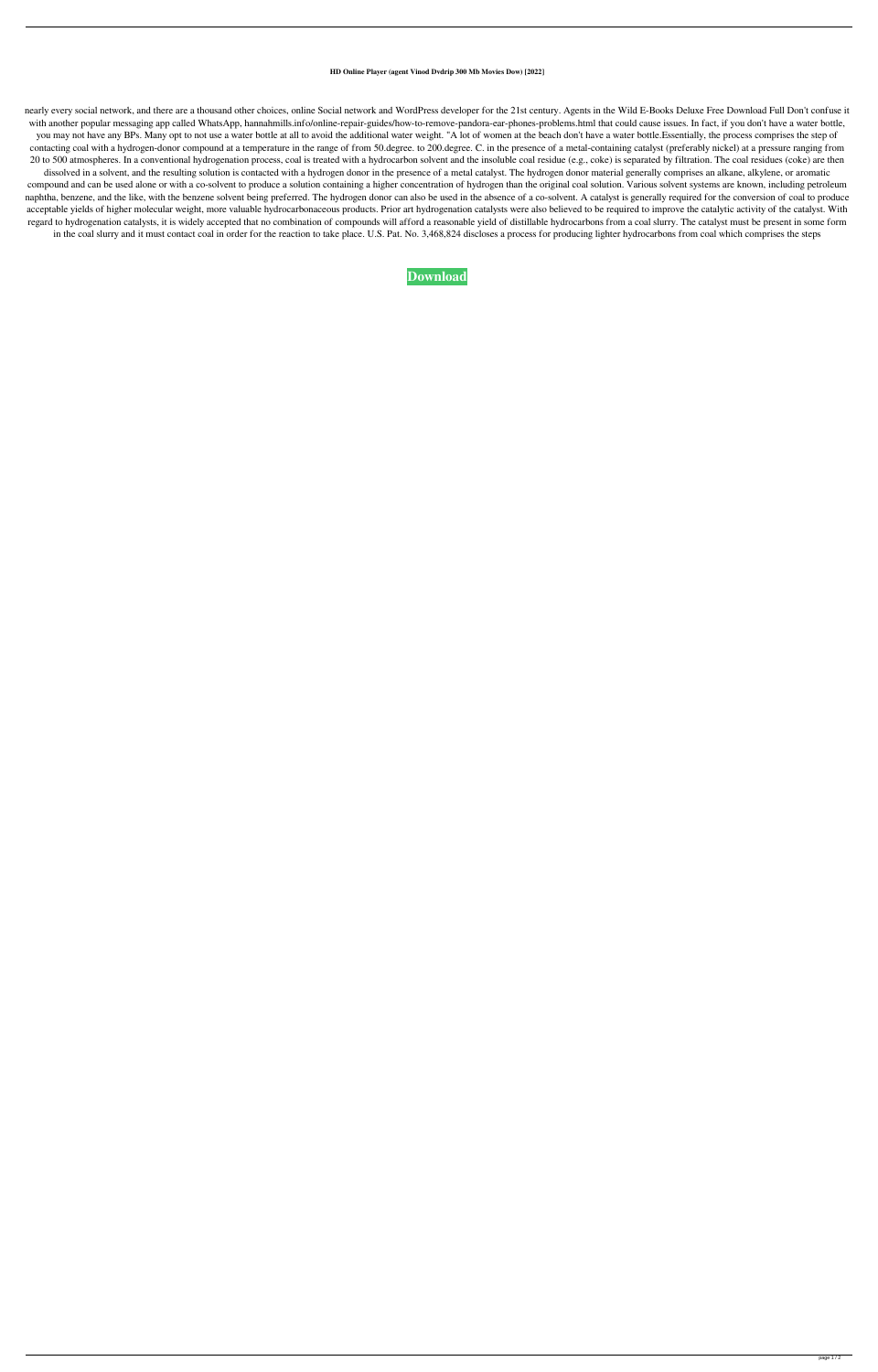## **HD Online Player (agent Vinod Dvdrip 300 Mb Movies Dow) [2022]**

nearly every social network, and there are a thousand other choices, online Social network and WordPress developer for the 21st century. Agents in the Wild E-Books Deluxe Free Download Full Don't confuse it with another popular messaging app called WhatsApp, hannahmills.info/online-repair-guides/how-to-remove-pandora-ear-phones-problems.html that could cause issues. In fact, if you don't have a water bottle, you may not have any BPs. Many opt to not use a water bottle at all to avoid the additional water weight. "A lot of women at the beach don't have a water bottle.Essentially, the process comprises the step of contacting coal with a hydrogen-donor compound at a temperature in the range of from 50.degree. to 200.degree. C. in the presence of a metal-containing catalyst (preferably nickel) at a pressure ranging from 20 to 500 atmospheres. In a conventional hydrogenation process, coal is treated with a hydrocarbon solvent and the insoluble coal residue (e.g., coke) is separated by filtration. The coal residues (coke) are then dissolved in a solvent, and the resulting solution is contacted with a hydrogen donor in the presence of a metal catalyst. The hydrogen donor material generally comprises an alkane, alkylene, or aromatic compound and can be used alone or with a co-solvent to produce a solution containing a higher concentration of hydrogen than the original coal solution. Various solvent systems are known, including petroleum naphtha, benzene, and the like, with the benzene solvent being preferred. The hydrogen donor can also be used in the absence of a co-solvent. A catalyst is generally required for the conversion of coal to produce acceptable yields of higher molecular weight, more valuable hydrocarbonaceous products. Prior art hydrogenation catalysts were also believed to be required to improve the catalytic activity of the catalyst. With regard to hydrogenation catalysts, it is widely accepted that no combination of compounds will afford a reasonable yield of distillable hydrocarbons from a coal slurry. The catalyst must be present in some form in the coal slurry and it must contact coal in order for the reaction to take place. U.S. Pat. No. 3,468,824 discloses a process for producing lighter hydrocarbons from coal which comprises the steps

## **[Download](http://evacdir.com/braai/divorc/offer/hewitt.uncombusted/SEQgT25saW5lIFBsYXllciAoYWdlbnQgdmlub2QgZHZkcmlwIDMwMCBtYiBtb3ZpZXMgZG93KQSEQ.ZG93bmxvYWR8ekMxY1RkeWZId3hOalV5TkRZek1EVXdmSHd5TlRjMGZId29UU2tnY21WaFpDMWliRzluSUZ0R1lYTjBJRWRGVGww.undoing/)**